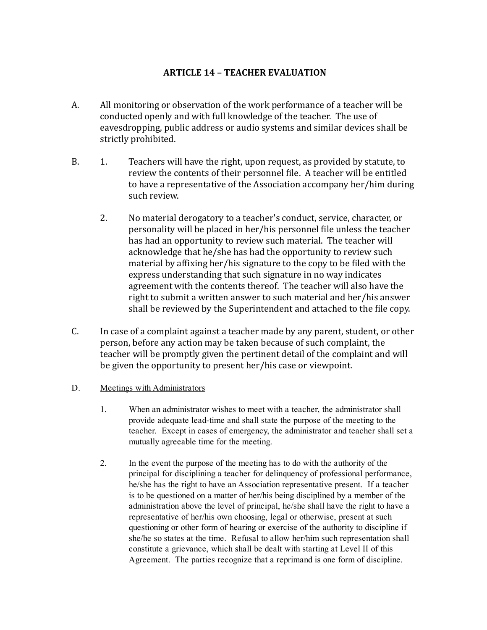## ARTICLE 14 – TEACHER EVALUATION

- A. All monitoring or observation of the work performance of a teacher will be conducted openly and with full knowledge of the teacher. The use of eavesdropping, public address or audio systems and similar devices shall be strictly prohibited.
- B. 1. Teachers will have the right, upon request, as provided by statute, to review the contents of their personnel file. A teacher will be entitled to have a representative of the Association accompany her/him during such review.
	- 2. No material derogatory to a teacher's conduct, service, character, or personality will be placed in her/his personnel file unless the teacher has had an opportunity to review such material. The teacher will acknowledge that he/she has had the opportunity to review such material by affixing her/his signature to the copy to be filed with the express understanding that such signature in no way indicates agreement with the contents thereof. The teacher will also have the right to submit a written answer to such material and her/his answer shall be reviewed by the Superintendent and attached to the file copy.
- C. In case of a complaint against a teacher made by any parent, student, or other person, before any action may be taken because of such complaint, the teacher will be promptly given the pertinent detail of the complaint and will be given the opportunity to present her/his case or viewpoint.
- D. Meetings with Administrators
	- 1. When an administrator wishes to meet with a teacher, the administrator shall provide adequate lead-time and shall state the purpose of the meeting to the teacher. Except in cases of emergency, the administrator and teacher shall set a mutually agreeable time for the meeting.
	- 2. In the event the purpose of the meeting has to do with the authority of the principal for disciplining a teacher for delinquency of professional performance, he/she has the right to have an Association representative present. If a teacher is to be questioned on a matter of her/his being disciplined by a member of the administration above the level of principal, he/she shall have the right to have a representative of her/his own choosing, legal or otherwise, present at such questioning or other form of hearing or exercise of the authority to discipline if she/he so states at the time. Refusal to allow her/him such representation shall constitute a grievance, which shall be dealt with starting at Level II of this Agreement. The parties recognize that a reprimand is one form of discipline.